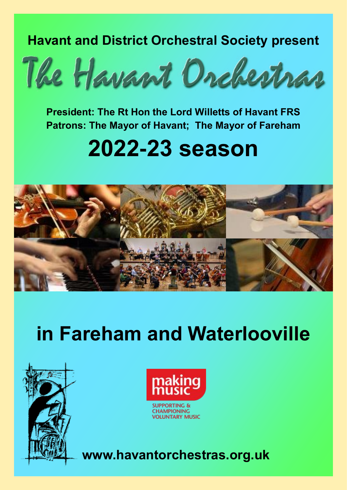**Havant and District Orchestral Society present**



**President: The Rt Hon the Lord Willetts of Havant FRS Patrons: The Mayor of Havant; The Mayor of Fareham**

# **2022-23 season**



# **in Fareham and Waterlooville**





**CHAMPIONING VOLUNTARY MUSIC** 

**www.havantorchestras.org.uk**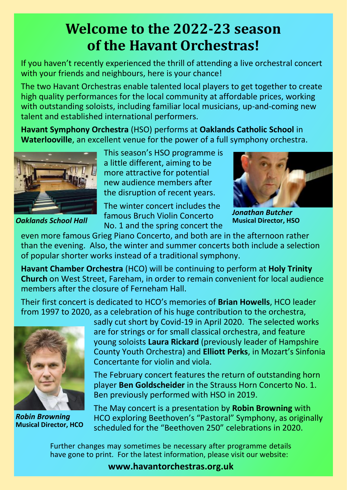# **Welcome to the 2022-23 season of the Havant Orchestras!**

If you haven't recently experienced the thrill of attending a live orchestral concert with your friends and neighbours, here is your chance!

The two Havant Orchestras enable talented local players to get together to create high quality performances for the local community at affordable prices, working with outstanding soloists, including familiar local musicians, up-and-coming new talent and established international performers.

**Havant Symphony Orchestra** (HSO) performs at **Oaklands Catholic School** in **Waterlooville**, an excellent venue for the power of a full symphony orchestra.



*Oaklands School Hall*

This season's HSO programme is a little different, aiming to be more attractive for potential new audience members after the disruption of recent years.

The winter concert includes the famous Bruch Violin Concerto No. 1 and the spring concert the



*Jonathan Butcher* **Musical Director, HSO**

even more famous Grieg Piano Concerto, and both are in the afternoon rather than the evening. Also, the winter and summer concerts both include a selection of popular shorter works instead of a traditional symphony.

**Havant Chamber Orchestra** (HCO) will be continuing to perform at **Holy Trinity Church** on West Street, Fareham, in order to remain convenient for local audience members after the closure of Ferneham Hall.

Their first concert is dedicated to HCO's memories of **Brian Howells**, HCO leader from 1997 to 2020, as a celebration of his huge contribution to the orchestra,



*Robin Browning* **Musical Director, HCO**

sadly cut short by Covid-19 in April 2020. The selected works are for strings or for small classical orchestra, and feature young soloists **Laura Rickard** (previously leader of Hampshire County Youth Orchestra) and **Elliott Perks**, in Mozart's Sinfonia Concertante for violin and viola.

The February concert features the return of outstanding horn player **Ben Goldscheider** in the Strauss Horn Concerto No. 1. Ben previously performed with HSO in 2019.

The May concert is a presentation by **Robin Browning** with HCO exploring Beethoven's "Pastoral" Symphony, as originally scheduled for the "Beethoven 250" celebrations in 2020.

Further changes may sometimes be necessary after programme details have gone to print. For the latest information, please visit our website:

**www.havantorchestras.org.uk**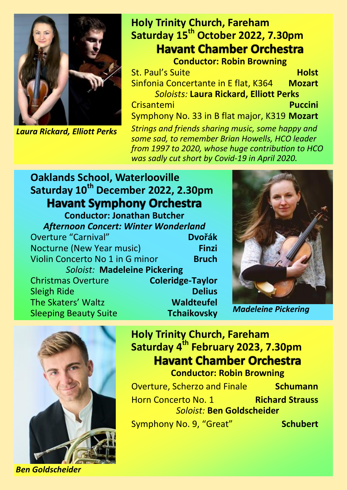

*Laura Rickard, Elliott Perks*

# **Holy Trinity Church, Fareham Saturday 15th October 2022, 7.30pm Havant Chamber Orchestra**

**Conductor: Robin Browning St. Paul's Suite <b>Holst Holst** Sinfonia Concertante in E flat, K364 **Mozart** *Soloists:* **Laura Rickard, Elliott Perks** Crisantemi **Puccini** Symphony No. 33 in B flat major, K319 **Mozart** *Strings and friends sharing music, some happy and some sad, to remember Brian Howells, HCO leader from 1997 to 2020, whose huge contribution to HCO was sadly cut short by Covid-19 in April 2020.*

# **Oaklands School, Waterlooville Saturday 10th December 2022, 2.30pm**

**Conductor: Jonathan Butcher** *Afternoon Concert: Winter Wonderland* **Overture "Carnival"** Nocturne (New Year music) **Finzi**  Violin Concerto No 1 in G minor **Bruch** *Soloist:* **Madeleine Pickering** Christmas Overture **Coleridge-Taylor Sleigh Ride** The Skaters' Waltz **Waldteufel** Sleeping Beauty Suite **Tchaikovsky** *Madeleine Pickering*





**Holy Trinity Church, Fareham Saturday 4th February 2023, 7.30pm Havant Chamber Orchestra Conductor: Robin Browning**

Overture, Scherzo and Finale **Schumann** Horn Concerto No. 1 **Richard Strauss** *Soloist:* **Ben Goldscheider** Symphony No. 9, "Great" **Schubert** 

*Ben Goldscheider*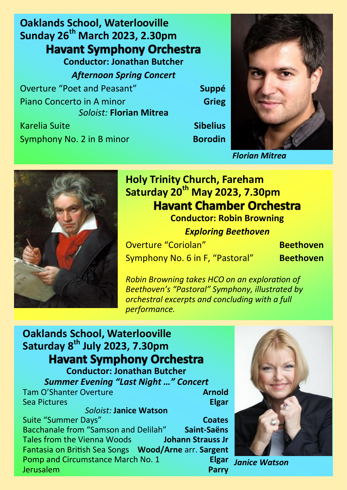**Oaklands School, Waterlooville Sunday 26th March 2023, 2.30pm Havant Symphony Orchestra Conductor: Jonathan Butcher** *Afternoon Spring Concert* Overture "Poet and Peasant" **Suppé** Piano Concerto in A minor **Grieg** *Soloist:* **Florian Mitrea** Karelia Suite **Sibelius**

Symphony No. 2 in B minor **Borodin** 



*Florian Mitrea*



# **Holy Trinity Church, Fareham Saturday 20th May 2023, 7.30pm Havant Chamber Orchestra**

**Conductor: Robin Browning** *Exploring Beethoven*

Overture "Coriolan" **Beethoven** Symphony No. 6 in F, "Pastoral" **Beethoven**

*Robin Browning takes HCO on an exploration of Beethoven's "Pastoral" Symphony, illustrated by orchestral excerpts and concluding with a full performance.*

### **Oaklands School, Waterlooville Saturday 8th July 2023, 7.30pm Havant Symphony Orchestra Conductor: Jonathan Butcher**

*Summer Evening "Last Night …" Concert* **Tam O'Shanter Overture Arnold Sea Pictures Elgar** *Soloist:* **Janice Watson**

Suite "Summer Days" **Coates** Bacchanale from "Samson and Delilah" **Saint-Saëns** Tales from the Vienna Woods **Johann Strauss Jr** Fantasia on British Sea Songs **Wood/Arne** arr. **Sargent** Pomp and Circumstance March No. 1 **Elgar** Jerusalem **Parry**



*Janice Watson*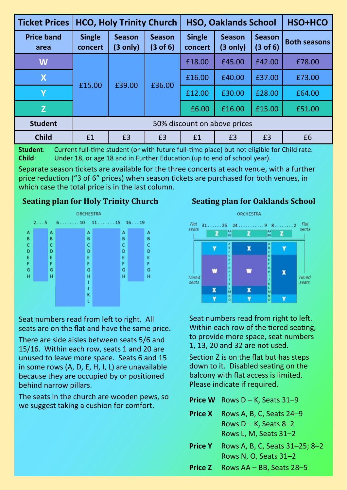| <b>Ticket Prices</b>      | <b>HCO, Holy Trinity Church</b> |                           |                                      | <b>HSO, Oaklands School</b> |                           |                           | HSO+HCO             |
|---------------------------|---------------------------------|---------------------------|--------------------------------------|-----------------------------|---------------------------|---------------------------|---------------------|
| <b>Price band</b><br>area | <b>Single</b><br>concert        | <b>Season</b><br>(3 only) | <b>Season</b><br>$(3 \text{ of } 6)$ | <b>Single</b><br>concert    | <b>Season</b><br>(3 only) | <b>Season</b><br>(3 of 6) | <b>Both seasons</b> |
| W                         | £15.00                          | £39.00                    | £36.00                               | £18.00                      | £45.00                    | £42.00                    | £78.00              |
| $\boldsymbol{X}$          |                                 |                           |                                      | £16.00                      | £40.00                    | £37.00                    | £73.00              |
| Υ                         |                                 |                           |                                      | £12.00                      | £30.00                    | £28.00                    | £64.00              |
| Z                         |                                 |                           |                                      | £6.00                       | £16.00                    | £15.00                    | £51.00              |
| <b>Student</b>            | 50% discount on above prices    |                           |                                      |                             |                           |                           |                     |
| <b>Child</b>              | £1                              | £3                        | £3                                   | £1                          | £3                        | £3                        | £6                  |

**Student**: Current full-time student (or with future full-time place) but not eligible for Child rate. **Child**: Under 18, or age 18 and in Further Education (up to end of school year).

Separate season tickets are available for the three concerts at each venue, with a further price reduction ("3 of 6" prices) when season tickets are purchased for both venues, in which case the total price is in the last column.

#### **Seating plan for Holy Trinity Church Seating plan for Oaklands School**



Seat numbers read from left to right. All seats are on the flat and have the same price.

There are side aisles between seats 5/6 and 15/16. Within each row, seats 1 and 20 are unused to leave more space. Seats 6 and 15 in some rows (A, D, E, H, I, L) are unavailable because they are occupied by or positioned behind narrow pillars.

The seats in the church are wooden pews, so we suggest taking a cushion for comfort.



Seat numbers read from right to left. Within each row of the tiered seating, to provide more space, seat numbers 1, 13, 20 and 32 are not used.

Section Z is on the flat but has steps down to it. Disabled seating on the balcony with flat access is limited. Please indicate if required.

**Price W** Rows D – K, Seats 31–9

- **Price X** Rows A, B, C, Seats 24–9 Rows  $D - K$ , Seats 8-2 Rows L, M, Seats 31–2
- **Price Y** Rows A, B, C, Seats 31–25; 8–2 Rows N, O, Seats 31–2
- **Price Z** Rows AA BB, Seats 28–5